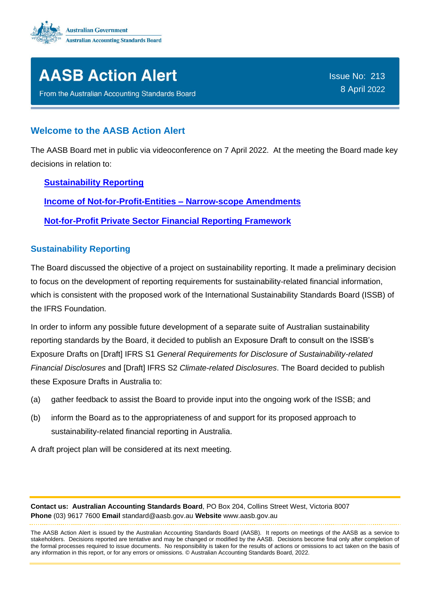



From the Australian Accounting Standards Board

Issue No: 213 8 April 2022

# **Welcome to the AASB Action Alert**

The AASB Board met in public via videoconference on 7 April 2022. At the meeting the Board made key decisions in relation to:

## **[Sustainability Reporting](#page-0-0)**

**[Income of Not-for-Profit-Entities –](#page-1-0) Narrow-scope Amendments**

**[Not-for-Profit Private Sector Financial Reporting Framework](#page-1-1)**

## <span id="page-0-0"></span>**Sustainability Reporting**

The Board discussed the objective of a project on sustainability reporting. It made a preliminary decision to focus on the development of reporting requirements for sustainability-related financial information, which is consistent with the proposed work of the International Sustainability Standards Board (ISSB) of the IFRS Foundation.

In order to inform any possible future development of a separate suite of Australian sustainability reporting standards by the Board, it decided to publish an Exposure Draft to consult on the ISSB's Exposure Drafts on [Draft] IFRS S1 *General Requirements for Disclosure of Sustainability-related Financial Disclosures* and [Draft] IFRS S2 *Climate-related Disclosures*. The Board decided to publish these Exposure Drafts in Australia to:

- (a) gather feedback to assist the Board to provide input into the ongoing work of the ISSB; and
- (b) inform the Board as to the appropriateness of and support for its proposed approach to sustainability-related financial reporting in Australia.

A draft project plan will be considered at its next meeting.

**Contact us: Australian Accounting Standards Board**, PO Box 204, Collins Street West, Victoria 8007 **Phone** (03) 9617 7600 **Email** standard@aasb.gov.au **Website** www.aasb.gov.au

The AASB Action Alert is issued by the Australian Accounting Standards Board (AASB). It reports on meetings of the AASB as a service to stakeholders. Decisions reported are tentative and may be changed or modified by the AASB. Decisions become final only after completion of the formal processes required to issue documents. No responsibility is taken for the results of actions or omissions to act taken on the basis of any information in this report, or for any errors or omissions. © Australian Accounting Standards Board, 2022.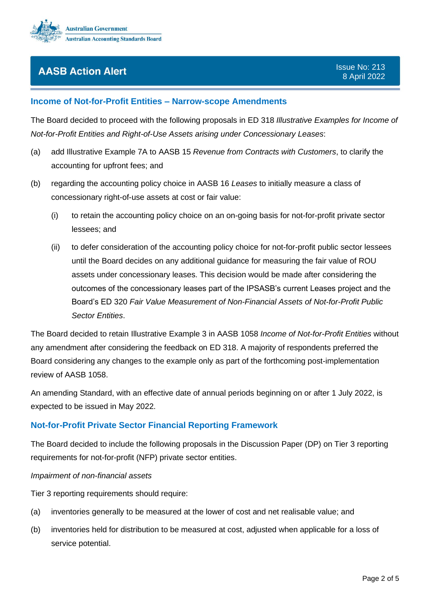

## <span id="page-1-0"></span>**Income of Not-for-Profit Entities – Narrow-scope Amendments**

The Board decided to proceed with the following proposals in ED 318 *Illustrative Examples for Income of Not-for-Profit Entities and Right-of-Use Assets arising under Concessionary Leases*:

- (a) add Illustrative Example 7A to AASB 15 *Revenue from Contracts with Customers*, to clarify the accounting for upfront fees; and
- (b) regarding the accounting policy choice in AASB 16 *Leases* to initially measure a class of concessionary right-of-use assets at cost or fair value:
	- (i) to retain the accounting policy choice on an on-going basis for not-for-profit private sector lessees; and
	- (ii) to defer consideration of the accounting policy choice for not-for-profit public sector lessees until the Board decides on any additional guidance for measuring the fair value of ROU assets under concessionary leases. This decision would be made after considering the outcomes of the concessionary leases part of the IPSASB's current Leases project and the Board's ED 320 *Fair Value Measurement of Non-Financial Assets of Not-for-Profit Public Sector Entities*.

The Board decided to retain Illustrative Example 3 in AASB 1058 *Income of Not-for-Profit Entities* without any amendment after considering the feedback on ED 318. A majority of respondents preferred the Board considering any changes to the example only as part of the forthcoming post-implementation review of AASB 1058.

An amending Standard, with an effective date of annual periods beginning on or after 1 July 2022, is expected to be issued in May 2022.

## <span id="page-1-1"></span>**Not-for-Profit Private Sector Financial Reporting Framework**

The Board decided to include the following proposals in the Discussion Paper (DP) on Tier 3 reporting requirements for not-for-profit (NFP) private sector entities.

### *Impairment of non-financial assets*

Tier 3 reporting requirements should require:

- (a) inventories generally to be measured at the lower of cost and net realisable value; and
- (b) inventories held for distribution to be measured at cost, adjusted when applicable for a loss of service potential.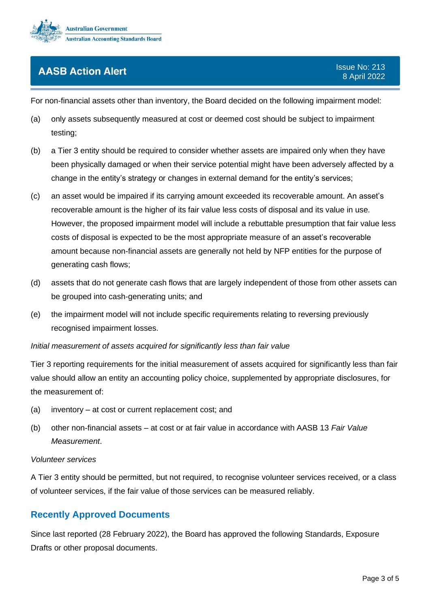

For non-financial assets other than inventory, the Board decided on the following impairment model:

- (a) only assets subsequently measured at cost or deemed cost should be subject to impairment testing;
- (b) a Tier 3 entity should be required to consider whether assets are impaired only when they have been physically damaged or when their service potential might have been adversely affected by a change in the entity's strategy or changes in external demand for the entity's services;
- (c) an asset would be impaired if its carrying amount exceeded its recoverable amount. An asset's recoverable amount is the higher of its fair value less costs of disposal and its value in use. However, the proposed impairment model will include a rebuttable presumption that fair value less costs of disposal is expected to be the most appropriate measure of an asset's recoverable amount because non-financial assets are generally not held by NFP entities for the purpose of generating cash flows;
- (d) assets that do not generate cash flows that are largely independent of those from other assets can be grouped into cash-generating units; and
- (e) the impairment model will not include specific requirements relating to reversing previously recognised impairment losses.

### *Initial measurement of assets acquired for significantly less than fair value*

Tier 3 reporting requirements for the initial measurement of assets acquired for significantly less than fair value should allow an entity an accounting policy choice, supplemented by appropriate disclosures, for the measurement of:

- (a) inventory at cost or current replacement cost; and
- (b) other non-financial assets at cost or at fair value in accordance with AASB 13 *Fair Value Measurement*.

#### *Volunteer services*

A Tier 3 entity should be permitted, but not required, to recognise volunteer services received, or a class of volunteer services, if the fair value of those services can be measured reliably.

# **Recently Approved Documents**

Since last reported (28 February 2022), the Board has approved the following Standards, Exposure Drafts or other proposal documents.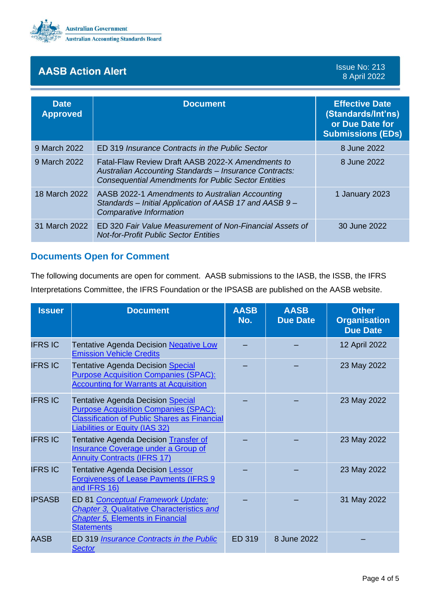

## Issue No: 213 8 April 2022

| <b>Date</b><br><b>Approved</b> | <b>Document</b>                                                                                                                                                           | <b>Effective Date</b><br>(Standards/Int'ns)<br>or Due Date for<br><b>Submissions (EDs)</b> |
|--------------------------------|---------------------------------------------------------------------------------------------------------------------------------------------------------------------------|--------------------------------------------------------------------------------------------|
| 9 March 2022                   | ED 319 Insurance Contracts in the Public Sector                                                                                                                           | 8 June 2022                                                                                |
| 9 March 2022                   | Fatal-Flaw Review Draft AASB 2022-X Amendments to<br>Australian Accounting Standards - Insurance Contracts:<br><b>Consequential Amendments for Public Sector Entities</b> | 8 June 2022                                                                                |
| 18 March 2022                  | AASB 2022-1 Amendments to Australian Accounting<br>Standards - Initial Application of AASB 17 and AASB 9 -<br>Comparative Information                                     | 1 January 2023                                                                             |
| 31 March 2022                  | ED 320 Fair Value Measurement of Non-Financial Assets of<br><b>Not-for-Profit Public Sector Entities</b>                                                                  | 30 June 2022                                                                               |

# **Documents Open for Comment**

The following documents are open for comment. AASB submissions to the IASB, the ISSB, the IFRS Interpretations Committee, the IFRS Foundation or the IPSASB are published on the AASB website.

| <b>Issuer</b>  | <b>Document</b>                                                                                                                                                                          | <b>AASB</b><br>No. | <b>AASB</b><br><b>Due Date</b> | <b>Other</b><br><b>Organisation</b><br><b>Due Date</b> |
|----------------|------------------------------------------------------------------------------------------------------------------------------------------------------------------------------------------|--------------------|--------------------------------|--------------------------------------------------------|
| <b>IFRS IC</b> | <b>Tentative Agenda Decision Negative Low</b><br><b>Emission Vehicle Credits</b>                                                                                                         |                    |                                | 12 April 2022                                          |
| <b>IFRS IC</b> | <b>Tentative Agenda Decision Special</b><br><b>Purpose Acquisition Companies (SPAC):</b><br><b>Accounting for Warrants at Acquisition</b>                                                |                    |                                | 23 May 2022                                            |
| <b>IFRS IC</b> | <b>Tentative Agenda Decision Special</b><br><b>Purpose Acquisition Companies (SPAC):</b><br><b>Classification of Public Shares as Financial</b><br><b>Liabilities or Equity (IAS 32)</b> |                    |                                | 23 May 2022                                            |
| <b>IFRS IC</b> | Tentative Agenda Decision Transfer of<br>Insurance Coverage under a Group of<br><b>Annuity Contracts (IFRS 17)</b>                                                                       |                    |                                | 23 May 2022                                            |
| <b>IFRS IC</b> | <b>Tentative Agenda Decision Lessor</b><br><b>Forgiveness of Lease Payments (IFRS 9</b><br>and IFRS 16)                                                                                  |                    |                                | 23 May 2022                                            |
| <b>IPSASB</b>  | ED 81 Conceptual Framework Update:<br><b>Chapter 3, Qualitative Characteristics and</b><br><b>Chapter 5, Elements in Financial</b><br><b>Statements</b>                                  |                    |                                | 31 May 2022                                            |
| <b>AASB</b>    | ED 319 <b>Insurance Contracts in the Public</b><br><b>Sector</b>                                                                                                                         | <b>ED 319</b>      | 8 June 2022                    |                                                        |